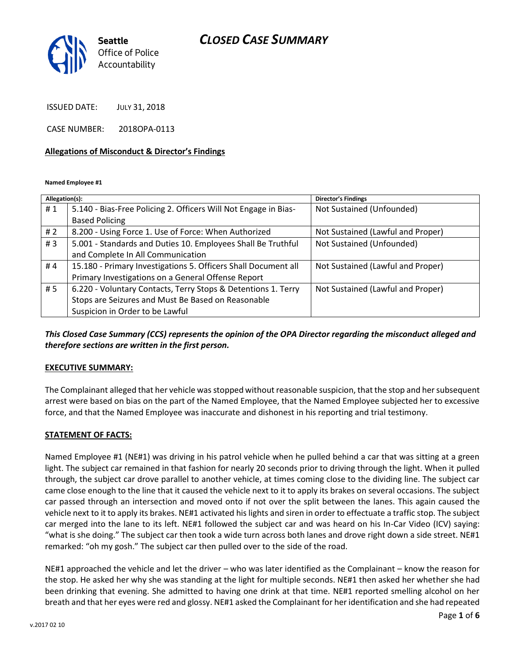

ISSUED DATE: JULY 31, 2018

CASE NUMBER: 2018OPA-0113

#### **Allegations of Misconduct & Director's Findings**

**Named Employee #1**

| Allegation(s): |                                                                 | <b>Director's Findings</b>        |
|----------------|-----------------------------------------------------------------|-----------------------------------|
| #1             | 5.140 - Bias-Free Policing 2. Officers Will Not Engage in Bias- | Not Sustained (Unfounded)         |
|                | <b>Based Policing</b>                                           |                                   |
| #2             | 8.200 - Using Force 1. Use of Force: When Authorized            | Not Sustained (Lawful and Proper) |
| #3             | 5.001 - Standards and Duties 10. Employees Shall Be Truthful    | Not Sustained (Unfounded)         |
|                | and Complete In All Communication                               |                                   |
| #4             | 15.180 - Primary Investigations 5. Officers Shall Document all  | Not Sustained (Lawful and Proper) |
|                | Primary Investigations on a General Offense Report              |                                   |
| # 5            | 6.220 - Voluntary Contacts, Terry Stops & Detentions 1. Terry   | Not Sustained (Lawful and Proper) |
|                | Stops are Seizures and Must Be Based on Reasonable              |                                   |
|                | Suspicion in Order to be Lawful                                 |                                   |

*This Closed Case Summary (CCS) represents the opinion of the OPA Director regarding the misconduct alleged and therefore sections are written in the first person.* 

#### **EXECUTIVE SUMMARY:**

The Complainant alleged that her vehicle was stopped without reasonable suspicion, that the stop and her subsequent arrest were based on bias on the part of the Named Employee, that the Named Employee subjected her to excessive force, and that the Named Employee was inaccurate and dishonest in his reporting and trial testimony.

#### **STATEMENT OF FACTS:**

Named Employee #1 (NE#1) was driving in his patrol vehicle when he pulled behind a car that was sitting at a green light. The subject car remained in that fashion for nearly 20 seconds prior to driving through the light. When it pulled through, the subject car drove parallel to another vehicle, at times coming close to the dividing line. The subject car came close enough to the line that it caused the vehicle next to it to apply its brakes on several occasions. The subject car passed through an intersection and moved onto if not over the split between the lanes. This again caused the vehicle next to it to apply its brakes. NE#1 activated his lights and siren in order to effectuate a traffic stop. The subject car merged into the lane to its left. NE#1 followed the subject car and was heard on his In-Car Video (ICV) saying: "what is she doing." The subject car then took a wide turn across both lanes and drove right down a side street. NE#1 remarked: "oh my gosh." The subject car then pulled over to the side of the road.

NE#1 approached the vehicle and let the driver – who was later identified as the Complainant – know the reason for the stop. He asked her why she was standing at the light for multiple seconds. NE#1 then asked her whether she had been drinking that evening. She admitted to having one drink at that time. NE#1 reported smelling alcohol on her breath and that her eyes were red and glossy. NE#1 asked the Complainant for her identification and she had repeated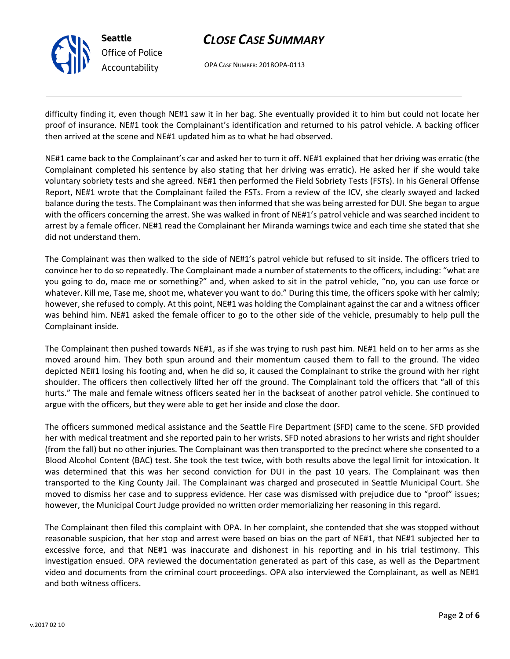OPA CASE NUMBER: 2018OPA-0113

difficulty finding it, even though NE#1 saw it in her bag. She eventually provided it to him but could not locate her proof of insurance. NE#1 took the Complainant's identification and returned to his patrol vehicle. A backing officer then arrived at the scene and NE#1 updated him as to what he had observed.

NE#1 came back to the Complainant's car and asked her to turn it off. NE#1 explained that her driving was erratic (the Complainant completed his sentence by also stating that her driving was erratic). He asked her if she would take voluntary sobriety tests and she agreed. NE#1 then performed the Field Sobriety Tests (FSTs). In his General Offense Report, NE#1 wrote that the Complainant failed the FSTs. From a review of the ICV, she clearly swayed and lacked balance during the tests. The Complainant was then informed that she was being arrested for DUI. She began to argue with the officers concerning the arrest. She was walked in front of NE#1's patrol vehicle and was searched incident to arrest by a female officer. NE#1 read the Complainant her Miranda warnings twice and each time she stated that she did not understand them.

The Complainant was then walked to the side of NE#1's patrol vehicle but refused to sit inside. The officers tried to convince her to do so repeatedly. The Complainant made a number of statements to the officers, including: "what are you going to do, mace me or something?" and, when asked to sit in the patrol vehicle, "no, you can use force or whatever. Kill me, Tase me, shoot me, whatever you want to do." During this time, the officers spoke with her calmly; however, she refused to comply. At this point, NE#1 was holding the Complainant against the car and a witness officer was behind him. NE#1 asked the female officer to go to the other side of the vehicle, presumably to help pull the Complainant inside.

The Complainant then pushed towards NE#1, as if she was trying to rush past him. NE#1 held on to her arms as she moved around him. They both spun around and their momentum caused them to fall to the ground. The video depicted NE#1 losing his footing and, when he did so, it caused the Complainant to strike the ground with her right shoulder. The officers then collectively lifted her off the ground. The Complainant told the officers that "all of this hurts." The male and female witness officers seated her in the backseat of another patrol vehicle. She continued to argue with the officers, but they were able to get her inside and close the door.

The officers summoned medical assistance and the Seattle Fire Department (SFD) came to the scene. SFD provided her with medical treatment and she reported pain to her wrists. SFD noted abrasions to her wrists and right shoulder (from the fall) but no other injuries. The Complainant was then transported to the precinct where she consented to a Blood Alcohol Content (BAC) test. She took the test twice, with both results above the legal limit for intoxication. It was determined that this was her second conviction for DUI in the past 10 years. The Complainant was then transported to the King County Jail. The Complainant was charged and prosecuted in Seattle Municipal Court. She moved to dismiss her case and to suppress evidence. Her case was dismissed with prejudice due to "proof" issues; however, the Municipal Court Judge provided no written order memorializing her reasoning in this regard.

The Complainant then filed this complaint with OPA. In her complaint, she contended that she was stopped without reasonable suspicion, that her stop and arrest were based on bias on the part of NE#1, that NE#1 subjected her to excessive force, and that NE#1 was inaccurate and dishonest in his reporting and in his trial testimony. This investigation ensued. OPA reviewed the documentation generated as part of this case, as well as the Department video and documents from the criminal court proceedings. OPA also interviewed the Complainant, as well as NE#1 and both witness officers.



**Seattle**

*Office of Police Accountability*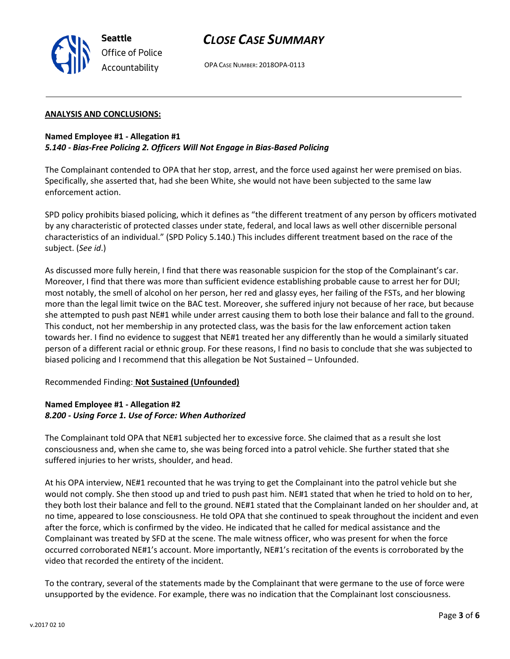



OPA CASE NUMBER: 2018OPA-0113

### **ANALYSIS AND CONCLUSIONS:**

## **Named Employee #1 - Allegation #1** *5.140 - Bias-Free Policing 2. Officers Will Not Engage in Bias-Based Policing*

The Complainant contended to OPA that her stop, arrest, and the force used against her were premised on bias. Specifically, she asserted that, had she been White, she would not have been subjected to the same law enforcement action.

SPD policy prohibits biased policing, which it defines as "the different treatment of any person by officers motivated by any characteristic of protected classes under state, federal, and local laws as well other discernible personal characteristics of an individual." (SPD Policy 5.140.) This includes different treatment based on the race of the subject. (*See id*.)

As discussed more fully herein, I find that there was reasonable suspicion for the stop of the Complainant's car. Moreover, I find that there was more than sufficient evidence establishing probable cause to arrest her for DUI; most notably, the smell of alcohol on her person, her red and glassy eyes, her failing of the FSTs, and her blowing more than the legal limit twice on the BAC test. Moreover, she suffered injury not because of her race, but because she attempted to push past NE#1 while under arrest causing them to both lose their balance and fall to the ground. This conduct, not her membership in any protected class, was the basis for the law enforcement action taken towards her. I find no evidence to suggest that NE#1 treated her any differently than he would a similarly situated person of a different racial or ethnic group. For these reasons, I find no basis to conclude that she was subjected to biased policing and I recommend that this allegation be Not Sustained – Unfounded.

## Recommended Finding: **Not Sustained (Unfounded)**

## **Named Employee #1 - Allegation #2** *8.200 - Using Force 1. Use of Force: When Authorized*

The Complainant told OPA that NE#1 subjected her to excessive force. She claimed that as a result she lost consciousness and, when she came to, she was being forced into a patrol vehicle. She further stated that she suffered injuries to her wrists, shoulder, and head.

At his OPA interview, NE#1 recounted that he was trying to get the Complainant into the patrol vehicle but she would not comply. She then stood up and tried to push past him. NE#1 stated that when he tried to hold on to her, they both lost their balance and fell to the ground. NE#1 stated that the Complainant landed on her shoulder and, at no time, appeared to lose consciousness. He told OPA that she continued to speak throughout the incident and even after the force, which is confirmed by the video. He indicated that he called for medical assistance and the Complainant was treated by SFD at the scene. The male witness officer, who was present for when the force occurred corroborated NE#1's account. More importantly, NE#1's recitation of the events is corroborated by the video that recorded the entirety of the incident.

To the contrary, several of the statements made by the Complainant that were germane to the use of force were unsupported by the evidence. For example, there was no indication that the Complainant lost consciousness.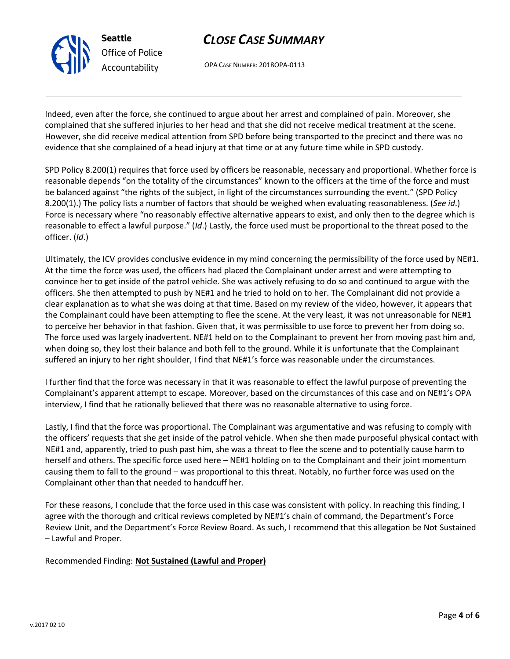

OPA CASE NUMBER: 2018OPA-0113

Indeed, even after the force, she continued to argue about her arrest and complained of pain. Moreover, she complained that she suffered injuries to her head and that she did not receive medical treatment at the scene. However, she did receive medical attention from SPD before being transported to the precinct and there was no evidence that she complained of a head injury at that time or at any future time while in SPD custody.

SPD Policy 8.200(1) requires that force used by officers be reasonable, necessary and proportional. Whether force is reasonable depends "on the totality of the circumstances" known to the officers at the time of the force and must be balanced against "the rights of the subject, in light of the circumstances surrounding the event." (SPD Policy 8.200(1).) The policy lists a number of factors that should be weighed when evaluating reasonableness. (*See id*.) Force is necessary where "no reasonably effective alternative appears to exist, and only then to the degree which is reasonable to effect a lawful purpose." (*Id*.) Lastly, the force used must be proportional to the threat posed to the officer. (*Id*.)

Ultimately, the ICV provides conclusive evidence in my mind concerning the permissibility of the force used by NE#1. At the time the force was used, the officers had placed the Complainant under arrest and were attempting to convince her to get inside of the patrol vehicle. She was actively refusing to do so and continued to argue with the officers. She then attempted to push by NE#1 and he tried to hold on to her. The Complainant did not provide a clear explanation as to what she was doing at that time. Based on my review of the video, however, it appears that the Complainant could have been attempting to flee the scene. At the very least, it was not unreasonable for NE#1 to perceive her behavior in that fashion. Given that, it was permissible to use force to prevent her from doing so. The force used was largely inadvertent. NE#1 held on to the Complainant to prevent her from moving past him and, when doing so, they lost their balance and both fell to the ground. While it is unfortunate that the Complainant suffered an injury to her right shoulder, I find that NE#1's force was reasonable under the circumstances.

I further find that the force was necessary in that it was reasonable to effect the lawful purpose of preventing the Complainant's apparent attempt to escape. Moreover, based on the circumstances of this case and on NE#1's OPA interview, I find that he rationally believed that there was no reasonable alternative to using force.

Lastly, I find that the force was proportional. The Complainant was argumentative and was refusing to comply with the officers' requests that she get inside of the patrol vehicle. When she then made purposeful physical contact with NE#1 and, apparently, tried to push past him, she was a threat to flee the scene and to potentially cause harm to herself and others. The specific force used here – NE#1 holding on to the Complainant and their joint momentum causing them to fall to the ground – was proportional to this threat. Notably, no further force was used on the Complainant other than that needed to handcuff her.

For these reasons, I conclude that the force used in this case was consistent with policy. In reaching this finding, I agree with the thorough and critical reviews completed by NE#1's chain of command, the Department's Force Review Unit, and the Department's Force Review Board. As such, I recommend that this allegation be Not Sustained – Lawful and Proper.

Recommended Finding: **Not Sustained (Lawful and Proper)**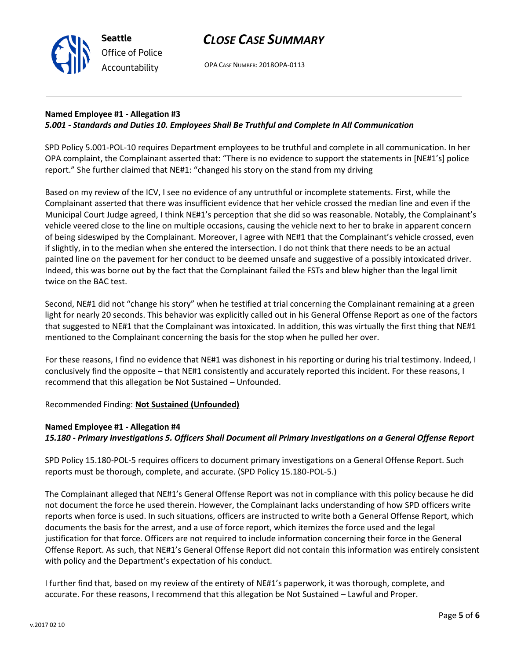OPA CASE NUMBER: 2018OPA-0113

### **Named Employee #1 - Allegation #3** *5.001 - Standards and Duties 10. Employees Shall Be Truthful and Complete In All Communication*

SPD Policy 5.001-POL-10 requires Department employees to be truthful and complete in all communication. In her OPA complaint, the Complainant asserted that: "There is no evidence to support the statements in [NE#1's] police report." She further claimed that NE#1: "changed his story on the stand from my driving

Based on my review of the ICV, I see no evidence of any untruthful or incomplete statements. First, while the Complainant asserted that there was insufficient evidence that her vehicle crossed the median line and even if the Municipal Court Judge agreed, I think NE#1's perception that she did so was reasonable. Notably, the Complainant's vehicle veered close to the line on multiple occasions, causing the vehicle next to her to brake in apparent concern of being sideswiped by the Complainant. Moreover, I agree with NE#1 that the Complainant's vehicle crossed, even if slightly, in to the median when she entered the intersection. I do not think that there needs to be an actual painted line on the pavement for her conduct to be deemed unsafe and suggestive of a possibly intoxicated driver. Indeed, this was borne out by the fact that the Complainant failed the FSTs and blew higher than the legal limit twice on the BAC test.

Second, NE#1 did not "change his story" when he testified at trial concerning the Complainant remaining at a green light for nearly 20 seconds. This behavior was explicitly called out in his General Offense Report as one of the factors that suggested to NE#1 that the Complainant was intoxicated. In addition, this was virtually the first thing that NE#1 mentioned to the Complainant concerning the basis for the stop when he pulled her over.

For these reasons, I find no evidence that NE#1 was dishonest in his reporting or during his trial testimony. Indeed, I conclusively find the opposite – that NE#1 consistently and accurately reported this incident. For these reasons, I recommend that this allegation be Not Sustained – Unfounded.

Recommended Finding: **Not Sustained (Unfounded)**

## **Named Employee #1 - Allegation #4**

*15.180 - Primary Investigations 5. Officers Shall Document all Primary Investigations on a General Offense Report*

SPD Policy 15.180-POL-5 requires officers to document primary investigations on a General Offense Report. Such reports must be thorough, complete, and accurate. (SPD Policy 15.180-POL-5.)

The Complainant alleged that NE#1's General Offense Report was not in compliance with this policy because he did not document the force he used therein. However, the Complainant lacks understanding of how SPD officers write reports when force is used. In such situations, officers are instructed to write both a General Offense Report, which documents the basis for the arrest, and a use of force report, which itemizes the force used and the legal justification for that force. Officers are not required to include information concerning their force in the General Offense Report. As such, that NE#1's General Offense Report did not contain this information was entirely consistent with policy and the Department's expectation of his conduct.

I further find that, based on my review of the entirety of NE#1's paperwork, it was thorough, complete, and accurate. For these reasons, I recommend that this allegation be Not Sustained – Lawful and Proper.



**Seattle** *Office of Police Accountability*